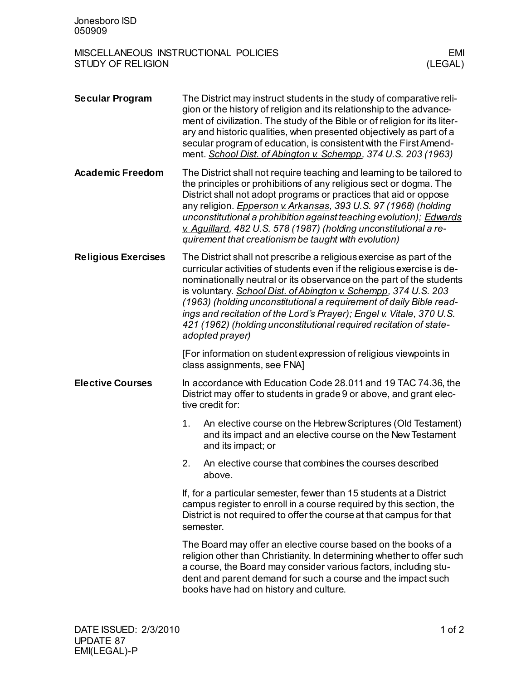## MISCELLANEOUS INSTRUCTIONAL POLICIES EMINE ENTRUCTIONAL POLICIES EMINE AND REALL ESTUDY OF RELIGION STUDY OF RELIGION

| <b>Secular Program</b>     |                                                                                                                                                                                                                                                                                                                                                                                                                                                                                                                                    | The District may instruct students in the study of comparative reli-<br>gion or the history of religion and its relationship to the advance-<br>ment of civilization. The study of the Bible or of religion for its liter-<br>ary and historic qualities, when presented objectively as part of a<br>secular program of education, is consistent with the First Amend-<br>ment. School Dist. of Abington v. Schempp, 374 U.S. 203 (1963) |
|----------------------------|------------------------------------------------------------------------------------------------------------------------------------------------------------------------------------------------------------------------------------------------------------------------------------------------------------------------------------------------------------------------------------------------------------------------------------------------------------------------------------------------------------------------------------|------------------------------------------------------------------------------------------------------------------------------------------------------------------------------------------------------------------------------------------------------------------------------------------------------------------------------------------------------------------------------------------------------------------------------------------|
| <b>Academic Freedom</b>    | The District shall not require teaching and leaming to be tailored to<br>the principles or prohibitions of any religious sect or dogma. The<br>District shall not adopt programs or practices that aid or oppose<br>any religion. <i>Epperson v. Arkansas, 393 U.S. 97 (1968) (holding</i><br>unconstitutional a prohibition against teaching evolution); Edwards<br>v. Aquillard, 482 U.S. 578 (1987) (holding unconstitutional a re-<br>quirement that creationism be taught with evolution)                                     |                                                                                                                                                                                                                                                                                                                                                                                                                                          |
| <b>Religious Exercises</b> | The District shall not prescribe a religious exercise as part of the<br>curricular activities of students even if the religious exercise is de-<br>nominationally neutral or its observance on the part of the students<br>is voluntary. School Dist. of Abington v. Schempp, 374 U.S. 203<br>(1963) (holding unconstitutional a requirement of daily Bible read-<br>ings and recitation of the Lord's Prayer); Engel v. Vitale, 370 U.S.<br>421 (1962) (holding unconstitutional required recitation of state-<br>adopted prayer) |                                                                                                                                                                                                                                                                                                                                                                                                                                          |
|                            |                                                                                                                                                                                                                                                                                                                                                                                                                                                                                                                                    | [For information on student expression of religious viewpoints in<br>class assignments, see FNA]                                                                                                                                                                                                                                                                                                                                         |
| <b>Elective Courses</b>    |                                                                                                                                                                                                                                                                                                                                                                                                                                                                                                                                    | In accordance with Education Code 28.011 and 19 TAC 74.36, the<br>District may offer to students in grade 9 or above, and grant elec-<br>tive credit for:                                                                                                                                                                                                                                                                                |
|                            | 1.                                                                                                                                                                                                                                                                                                                                                                                                                                                                                                                                 | An elective course on the Hebrew Scriptures (Old Testament)<br>and its impact and an elective course on the New Testament<br>and its impact; or                                                                                                                                                                                                                                                                                          |
|                            | 2.                                                                                                                                                                                                                                                                                                                                                                                                                                                                                                                                 | An elective course that combines the courses described<br>above.                                                                                                                                                                                                                                                                                                                                                                         |
|                            | If, for a particular semester, fewer than 15 students at a District<br>campus register to enroll in a course required by this section, the<br>District is not required to offer the course at that campus for that<br>semester.                                                                                                                                                                                                                                                                                                    |                                                                                                                                                                                                                                                                                                                                                                                                                                          |
|                            |                                                                                                                                                                                                                                                                                                                                                                                                                                                                                                                                    | The Board may offer an elective course based on the books of a<br>religion other than Christianity. In determining whether to offer such<br>a course, the Board may consider various factors, including stu-<br>dent and parent demand for such a course and the impact such<br>books have had on history and culture.                                                                                                                   |